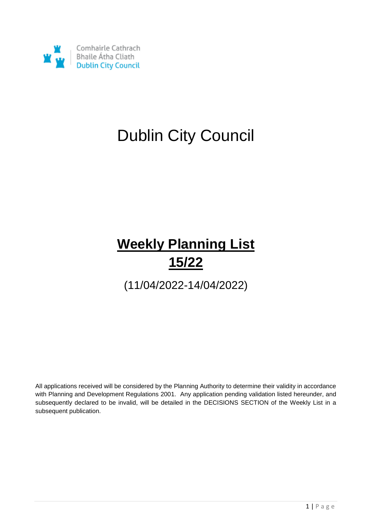

# Dublin City Council

# **Weekly Planning List 15/22**

(11/04/2022-14/04/2022)

All applications received will be considered by the Planning Authority to determine their validity in accordance with Planning and Development Regulations 2001. Any application pending validation listed hereunder, and subsequently declared to be invalid, will be detailed in the DECISIONS SECTION of the Weekly List in a subsequent publication.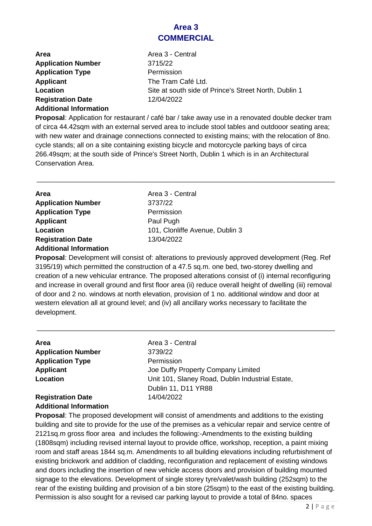#### **Area 3 COMMERCIAL**

| <b>Area</b>                   | Area 3 - Central                                      |
|-------------------------------|-------------------------------------------------------|
| <b>Application Number</b>     | 3715/22                                               |
| <b>Application Type</b>       | Permission                                            |
| Applicant                     | The Tram Café Ltd.                                    |
| Location                      | Site at south side of Prince's Street North, Dublin 1 |
| <b>Registration Date</b>      | 12/04/2022                                            |
| <b>Additional Information</b> |                                                       |

**Proposal**: Application for restaurant / café bar / take away use in a renovated double decker tram of circa 44.42sqm with an external served area to include stool tables and outdooor seating area; with new water and drainage connections connected to existing mains; with the relocation of 8no. cycle stands; all on a site containing existing bicycle and motorcycle parking bays of circa 266.49sqm; at the south side of Prince's Street North, Dublin 1 which is in an Architectural Conservation Area.

\_\_\_\_\_\_\_\_\_\_\_\_\_\_\_\_\_\_\_\_\_\_\_\_\_\_\_\_\_\_\_\_\_\_\_\_\_\_\_\_\_\_\_\_\_\_\_\_\_\_\_\_\_\_\_\_\_\_\_\_\_\_\_\_\_\_\_\_\_\_\_\_\_\_\_\_\_\_

| <b>Area</b>                   | Area 3 - Central                |
|-------------------------------|---------------------------------|
|                               |                                 |
| <b>Application Number</b>     | 3737/22                         |
| <b>Application Type</b>       | Permission                      |
| <b>Applicant</b>              | Paul Pugh                       |
| Location                      | 101, Clonliffe Avenue, Dublin 3 |
| <b>Registration Date</b>      | 13/04/2022                      |
| <b>Additional Information</b> |                                 |

**Proposal**: Development will consist of: alterations to previously approved development (Reg. Ref 3195/19) which permitted the construction of a 47.5 sq.m. one bed, two-storey dwelling and creation of a new vehicular entrance. The proposed alterations consist of (i) internal reconfiguring and increase in overall ground and first floor area (ii) reduce overall height of dwelling (iii) removal of door and 2 no. windows at north elevation, provision of 1 no. additional window and door at western elevation all at ground level; and (iv) all ancillary works necessary to facilitate the development.

\_\_\_\_\_\_\_\_\_\_\_\_\_\_\_\_\_\_\_\_\_\_\_\_\_\_\_\_\_\_\_\_\_\_\_\_\_\_\_\_\_\_\_\_\_\_\_\_\_\_\_\_\_\_\_\_\_\_\_\_\_\_\_\_\_\_\_\_\_\_\_\_\_\_\_\_\_\_

| Area                          | Area 3 - Central                                 |
|-------------------------------|--------------------------------------------------|
| <b>Application Number</b>     | 3739/22                                          |
| <b>Application Type</b>       | Permission                                       |
| <b>Applicant</b>              | Joe Duffy Property Company Limited               |
| Location                      | Unit 101, Slaney Road, Dublin Industrial Estate, |
|                               | Dublin 11, D11 YR88                              |
| <b>Registration Date</b>      | 14/04/2022                                       |
| <b>Additional Information</b> |                                                  |

**Proposal**: The proposed development will consist of amendments and additions to the existing building and site to provide for the use of the premises as a vehicular repair and service centre of 2121sq.m gross floor area and includes the following:-Amendments to the existing building (1808sqm) including revised internal layout to provide office, workshop, reception, a paint mixing room and staff areas 1844 sq.m. Amendments to all building elevations including refurbishment of existing brickwork and addition of cladding, reconfiguration and replacement of existing windows and doors including the insertion of new vehicle access doors and provision of building mounted signage to the elevations. Development of single storey tyre/valet/wash building (252sqm) to the rear of the existing building and provision of a bin store (25sqm) to the east of the existing building. Permission is also sought for a revised car parking layout to provide a total of 84no. spaces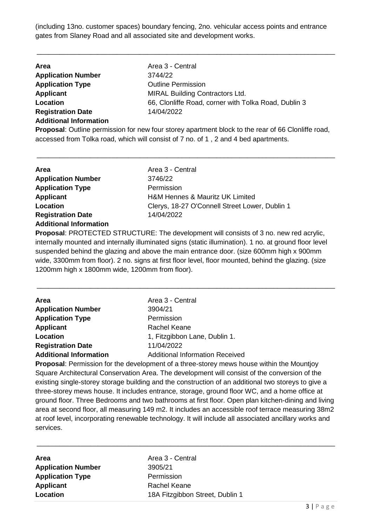(including 13no. customer spaces) boundary fencing, 2no. vehicular access points and entrance gates from Slaney Road and all associated site and development works.

\_\_\_\_\_\_\_\_\_\_\_\_\_\_\_\_\_\_\_\_\_\_\_\_\_\_\_\_\_\_\_\_\_\_\_\_\_\_\_\_\_\_\_\_\_\_\_\_\_\_\_\_\_\_\_\_\_\_\_\_\_\_\_\_\_\_\_\_\_\_\_\_\_\_\_\_\_\_

| Area                          | Area 3 - Central                                                                                       |
|-------------------------------|--------------------------------------------------------------------------------------------------------|
| <b>Application Number</b>     | 3744/22                                                                                                |
| <b>Application Type</b>       | <b>Outline Permission</b>                                                                              |
| Applicant                     | <b>MIRAL Building Contractors Ltd.</b>                                                                 |
| Location                      | 66, Clonliffe Road, corner with Tolka Road, Dublin 3                                                   |
| <b>Registration Date</b>      | 14/04/2022                                                                                             |
| <b>Additional Information</b> |                                                                                                        |
|                               | <b>Proposal:</b> Outling permission for new four storey apartment block to the rear of 66 Clonliffe re |

**Proposal**: Outline permission for new four storey apartment block to the rear of 66 Clonliffe road, accessed from Tolka road, which will consist of 7 no. of 1 , 2 and 4 bed apartments.

\_\_\_\_\_\_\_\_\_\_\_\_\_\_\_\_\_\_\_\_\_\_\_\_\_\_\_\_\_\_\_\_\_\_\_\_\_\_\_\_\_\_\_\_\_\_\_\_\_\_\_\_\_\_\_\_\_\_\_\_\_\_\_\_\_\_\_\_\_\_\_\_\_\_\_\_\_\_

| Area 3 - Central                               |
|------------------------------------------------|
| 3746/22                                        |
| Permission                                     |
| <b>H&amp;M Hennes &amp; Mauritz UK Limited</b> |
| Clerys, 18-27 O'Connell Street Lower, Dublin 1 |
| 14/04/2022                                     |
|                                                |
|                                                |

**Proposal**: PROTECTED STRUCTURE: The development will consists of 3 no. new red acrylic, internally mounted and internally illuminated signs (static illumination). 1 no. at ground floor level suspended behind the glazing and above the main entrance door. (size 600mm high x 900mm wide, 3300mm from floor). 2 no. signs at first floor level, floor mounted, behind the glazing. (size 1200mm high x 1800mm wide, 1200mm from floor).

\_\_\_\_\_\_\_\_\_\_\_\_\_\_\_\_\_\_\_\_\_\_\_\_\_\_\_\_\_\_\_\_\_\_\_\_\_\_\_\_\_\_\_\_\_\_\_\_\_\_\_\_\_\_\_\_\_\_\_\_\_\_\_\_\_\_\_\_\_\_\_\_\_\_\_\_\_\_

| <b>Area</b>                   | Area 3 - Central                       |
|-------------------------------|----------------------------------------|
| <b>Application Number</b>     | 3904/21                                |
| <b>Application Type</b>       | Permission                             |
| <b>Applicant</b>              | <b>Rachel Keane</b>                    |
| Location                      | 1, Fitzgibbon Lane, Dublin 1.          |
| <b>Registration Date</b>      | 11/04/2022                             |
| <b>Additional Information</b> | <b>Additional Information Received</b> |
|                               |                                        |

**Proposal**: Permission for the development of a three-storey mews house within the Mountjoy Square Architectural Conservation Area. The development will consist of the conversion of the existing single-storey storage building and the construction of an additional two storeys to give a three-storey mews house. It includes entrance, storage, ground floor WC, and a home office at ground floor. Three Bedrooms and two bathrooms at first floor. Open plan kitchen-dining and living area at second floor, all measuring 149 m2. It includes an accessible roof terrace measuring 38m2 at roof level, incorporating renewable technology. It will include all associated ancillary works and services.

\_\_\_\_\_\_\_\_\_\_\_\_\_\_\_\_\_\_\_\_\_\_\_\_\_\_\_\_\_\_\_\_\_\_\_\_\_\_\_\_\_\_\_\_\_\_\_\_\_\_\_\_\_\_\_\_\_\_\_\_\_\_\_\_\_\_\_\_\_\_\_\_\_\_\_\_\_\_

**Area Area 3 - Central Application Number** 3905/21 **Application Type** Permission **Applicant** Rachel Keane

**Location** 18A Fitzgibbon Street, Dublin 1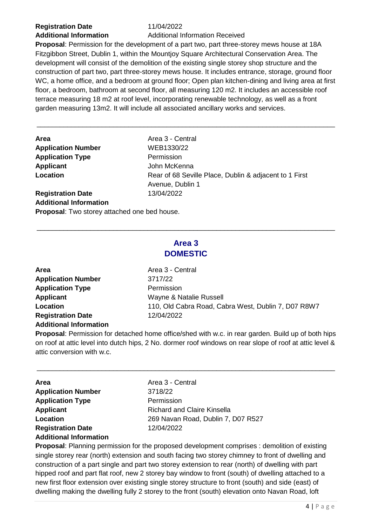## **Registration Date** 11/04/2022

**Additional Information** Additional Information Received

**Proposal**: Permission for the development of a part two, part three-storey mews house at 18A Fitzgibbon Street, Dublin 1, within the Mountjoy Square Architectural Conservation Area. The development will consist of the demolition of the existing single storey shop structure and the construction of part two, part three-storey mews house. It includes entrance, storage, ground floor WC, a home office, and a bedroom at ground floor; Open plan kitchen-dining and living area at first floor, a bedroom, bathroom at second floor, all measuring 120 m2. It includes an accessible roof terrace measuring 18 m2 at roof level, incorporating renewable technology, as well as a front garden measuring 13m2. It will include all associated ancillary works and services.

\_\_\_\_\_\_\_\_\_\_\_\_\_\_\_\_\_\_\_\_\_\_\_\_\_\_\_\_\_\_\_\_\_\_\_\_\_\_\_\_\_\_\_\_\_\_\_\_\_\_\_\_\_\_\_\_\_\_\_\_\_\_\_\_\_\_\_\_\_\_\_\_\_\_\_\_\_\_

| Area                          | Area 3 - Central                                       |
|-------------------------------|--------------------------------------------------------|
| <b>Application Number</b>     | WEB1330/22                                             |
| <b>Application Type</b>       | Permission                                             |
| <b>Applicant</b>              | John McKenna                                           |
| Location                      | Rear of 68 Seville Place, Dublin & adjacent to 1 First |
|                               | Avenue, Dublin 1                                       |
| <b>Registration Date</b>      | 13/04/2022                                             |
| <b>Additional Information</b> |                                                        |

**Proposal**: Two storey attached one bed house.

### **Area 3 DOMESTIC**

\_\_\_\_\_\_\_\_\_\_\_\_\_\_\_\_\_\_\_\_\_\_\_\_\_\_\_\_\_\_\_\_\_\_\_\_\_\_\_\_\_\_\_\_\_\_\_\_\_\_\_\_\_\_\_\_\_\_\_\_\_\_\_\_\_\_\_\_\_\_\_\_\_\_\_\_\_\_

| Area                          | Area 3 - Central                                    |
|-------------------------------|-----------------------------------------------------|
| <b>Application Number</b>     | 3717/22                                             |
| <b>Application Type</b>       | Permission                                          |
| <b>Applicant</b>              | Wayne & Natalie Russell                             |
| Location                      | 110, Old Cabra Road, Cabra West, Dublin 7, D07 R8W7 |
| <b>Registration Date</b>      | 12/04/2022                                          |
| <b>Additional Information</b> |                                                     |

**Proposal**: Permission for detached home office/shed with w.c. in rear garden. Build up of both hips on roof at attic level into dutch hips, 2 No. dormer roof windows on rear slope of roof at attic level & attic conversion with w.c.

\_\_\_\_\_\_\_\_\_\_\_\_\_\_\_\_\_\_\_\_\_\_\_\_\_\_\_\_\_\_\_\_\_\_\_\_\_\_\_\_\_\_\_\_\_\_\_\_\_\_\_\_\_\_\_\_\_\_\_\_\_\_\_\_\_\_\_\_\_\_\_\_\_\_\_\_\_\_

| <b>Area</b>                   | Area 3 - Central                   |
|-------------------------------|------------------------------------|
| <b>Application Number</b>     | 3718/22                            |
| <b>Application Type</b>       | Permission                         |
| <b>Applicant</b>              | Richard and Claire Kinsella        |
| Location                      | 269 Navan Road, Dublin 7, D07 R527 |
| <b>Registration Date</b>      | 12/04/2022                         |
| <b>Additional Information</b> |                                    |

**Proposal**: Planning permission for the proposed development comprises : demolition of existing single storey rear (north) extension and south facing two storey chimney to front of dwelling and construction of a part single and part two storey extension to rear (north) of dwelling with part hipped roof and part flat roof, new 2 storey bay window to front (south) of dwelling attached to a new first floor extension over existing single storey structure to front (south) and side (east) of dwelling making the dwelling fully 2 storey to the front (south) elevation onto Navan Road, loft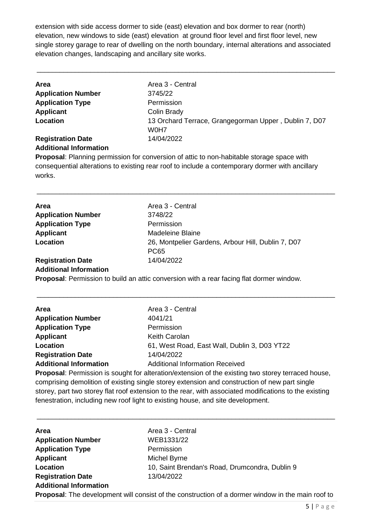extension with side access dormer to side (east) elevation and box dormer to rear (north) elevation, new windows to side (east) elevation at ground floor level and first floor level, new single storey garage to rear of dwelling on the north boundary, internal alterations and associated elevation changes, landscaping and ancillary site works.

\_\_\_\_\_\_\_\_\_\_\_\_\_\_\_\_\_\_\_\_\_\_\_\_\_\_\_\_\_\_\_\_\_\_\_\_\_\_\_\_\_\_\_\_\_\_\_\_\_\_\_\_\_\_\_\_\_\_\_\_\_\_\_\_\_\_\_\_\_\_\_\_\_\_\_\_\_\_

| <b>Area</b>                   | Area 3 - Central                                      |
|-------------------------------|-------------------------------------------------------|
| <b>Application Number</b>     | 3745/22                                               |
| <b>Application Type</b>       | Permission                                            |
| <b>Applicant</b>              | Colin Brady                                           |
| Location                      | 13 Orchard Terrace, Grangegorman Upper, Dublin 7, D07 |
|                               | W <sub>0</sub> H <sub>7</sub>                         |
| <b>Registration Date</b>      | 14/04/2022                                            |
| <b>Additional Information</b> |                                                       |

**Proposal**: Planning permission for conversion of attic to non-habitable storage space with consequential alterations to existing rear roof to include a contemporary dormer with ancillary works.

\_\_\_\_\_\_\_\_\_\_\_\_\_\_\_\_\_\_\_\_\_\_\_\_\_\_\_\_\_\_\_\_\_\_\_\_\_\_\_\_\_\_\_\_\_\_\_\_\_\_\_\_\_\_\_\_\_\_\_\_\_\_\_\_\_\_\_\_\_\_\_\_\_\_\_\_\_\_

| Area                          | Area 3 - Central                                   |
|-------------------------------|----------------------------------------------------|
| <b>Application Number</b>     | 3748/22                                            |
| <b>Application Type</b>       | Permission                                         |
| <b>Applicant</b>              | Madeleine Blaine                                   |
| Location                      | 26, Montpelier Gardens, Arbour Hill, Dublin 7, D07 |
|                               | <b>PC65</b>                                        |
| <b>Registration Date</b>      | 14/04/2022                                         |
| <b>Additional Information</b> |                                                    |

**Proposal**: Permission to build an attic conversion with a rear facing flat dormer window.

| Area                          | Area 3 - Central                                                                                                                                                                                                                      |
|-------------------------------|---------------------------------------------------------------------------------------------------------------------------------------------------------------------------------------------------------------------------------------|
| <b>Application Number</b>     | 4041/21                                                                                                                                                                                                                               |
| <b>Application Type</b>       | Permission                                                                                                                                                                                                                            |
| Applicant                     | <b>Keith Carolan</b>                                                                                                                                                                                                                  |
| Location                      | 61, West Road, East Wall, Dublin 3, D03 YT22                                                                                                                                                                                          |
| <b>Registration Date</b>      | 14/04/2022                                                                                                                                                                                                                            |
| <b>Additional Information</b> | <b>Additional Information Received</b>                                                                                                                                                                                                |
|                               | $\blacksquare$ . In the state of the state of the state of the state of the state of the state of the state of the state of the state of the state of the state of the state of the state of the state of the state of the state of t |

\_\_\_\_\_\_\_\_\_\_\_\_\_\_\_\_\_\_\_\_\_\_\_\_\_\_\_\_\_\_\_\_\_\_\_\_\_\_\_\_\_\_\_\_\_\_\_\_\_\_\_\_\_\_\_\_\_\_\_\_\_\_\_\_\_\_\_\_\_\_\_\_\_\_\_\_\_\_

**Proposal**: Permission is sought for alteration/extension of the existing two storey terraced house, comprising demolition of existing single storey extension and construction of new part single storey, part two storey flat roof extension to the rear, with associated modifications to the existing fenestration, including new roof light to existing house, and site development.

| Area                          | Area 3 - Central                                                                                         |
|-------------------------------|----------------------------------------------------------------------------------------------------------|
| <b>Application Number</b>     | WEB1331/22                                                                                               |
| <b>Application Type</b>       | Permission                                                                                               |
| Applicant                     | Michel Byrne                                                                                             |
| Location                      | 10, Saint Brendan's Road, Drumcondra, Dublin 9                                                           |
| <b>Registration Date</b>      | 13/04/2022                                                                                               |
| <b>Additional Information</b> |                                                                                                          |
|                               | <b>Proposal:</b> The development will consist of the construction of a dormer window in the main roof to |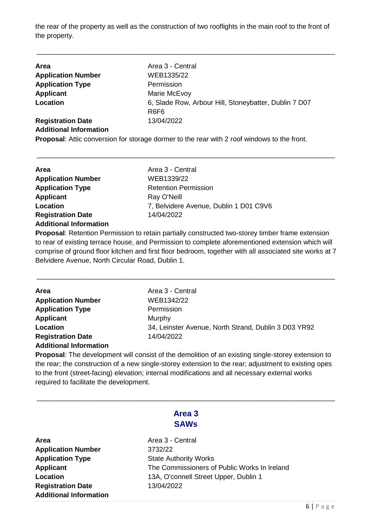the rear of the property as well as the construction of two rooflights in the main roof to the front of the property.

\_\_\_\_\_\_\_\_\_\_\_\_\_\_\_\_\_\_\_\_\_\_\_\_\_\_\_\_\_\_\_\_\_\_\_\_\_\_\_\_\_\_\_\_\_\_\_\_\_\_\_\_\_\_\_\_\_\_\_\_\_\_\_\_\_\_\_\_\_\_\_\_\_\_\_\_\_\_

| <b>Area</b>                   | Area 3 - Central                                                                       |
|-------------------------------|----------------------------------------------------------------------------------------|
| <b>Application Number</b>     | WEB1335/22                                                                             |
| <b>Application Type</b>       | Permission                                                                             |
| Applicant                     | Marie McEvoy                                                                           |
| Location                      | 6, Slade Row, Arbour Hill, Stoneybatter, Dublin 7 D07<br>R <sub>6</sub> F <sub>6</sub> |
| <b>Registration Date</b>      | 13/04/2022                                                                             |
| <b>Additional Information</b> |                                                                                        |

**Proposal**: Attic conversion for storage dormer to the rear with 2 roof windows to the front.

\_\_\_\_\_\_\_\_\_\_\_\_\_\_\_\_\_\_\_\_\_\_\_\_\_\_\_\_\_\_\_\_\_\_\_\_\_\_\_\_\_\_\_\_\_\_\_\_\_\_\_\_\_\_\_\_\_\_\_\_\_\_\_\_\_\_\_\_\_\_\_\_\_\_\_\_\_\_

| Area                          | Area 3 - Central                       |
|-------------------------------|----------------------------------------|
| <b>Application Number</b>     | WEB1339/22                             |
| <b>Application Type</b>       | <b>Retention Permission</b>            |
| <b>Applicant</b>              | Ray O'Neill                            |
| Location                      | 7, Belvidere Avenue, Dublin 1 D01 C9V6 |
| <b>Registration Date</b>      | 14/04/2022                             |
| <b>Additional Information</b> |                                        |

**Proposal**: Retention Permission to retain partially constructed two-storey timber frame extension to rear of existing terrace house, and Permission to complete aforementioned extension which will comprise of ground floor kitchen and first floor bedroom, together with all associated site works at 7 Belvidere Avenue, North Circular Road, Dublin 1.

\_\_\_\_\_\_\_\_\_\_\_\_\_\_\_\_\_\_\_\_\_\_\_\_\_\_\_\_\_\_\_\_\_\_\_\_\_\_\_\_\_\_\_\_\_\_\_\_\_\_\_\_\_\_\_\_\_\_\_\_\_\_\_\_\_\_\_\_\_\_\_\_\_\_\_\_\_\_

| Area                          | Area 3 - Central                                     |
|-------------------------------|------------------------------------------------------|
| <b>Application Number</b>     | WEB1342/22                                           |
| <b>Application Type</b>       | Permission                                           |
| <b>Applicant</b>              | Murphy                                               |
| Location                      | 34, Leinster Avenue, North Strand, Dublin 3 D03 YR92 |
| <b>Registration Date</b>      | 14/04/2022                                           |
| <b>Additional Information</b> |                                                      |

**Proposal**: The development will consist of the demolition of an existing single-storey extension to the rear; the construction of a new single-storey extension to the rear; adjustment to existing opes to the front (street-facing) elevation; internal modifications and all necessary external works required to facilitate the development.

| Area 3      |  |
|-------------|--|
| <b>SAWs</b> |  |

\_\_\_\_\_\_\_\_\_\_\_\_\_\_\_\_\_\_\_\_\_\_\_\_\_\_\_\_\_\_\_\_\_\_\_\_\_\_\_\_\_\_\_\_\_\_\_\_\_\_\_\_\_\_\_\_\_\_\_\_\_\_\_\_\_\_\_\_\_\_\_\_\_\_\_\_\_\_

| Area                          |
|-------------------------------|
| <b>Application Number</b>     |
| <b>Application Type</b>       |
| <b>Applicant</b>              |
| Location                      |
| <b>Registration Date</b>      |
| <b>Additional Information</b> |

**Area** Area 3 - Central **Application Number** 3732/22 **State Authority Works** The Commissioners of Public Works In Ireland **Location** 13A, O'connell Street Upper, Dublin 1 **Registration Date** 13/04/2022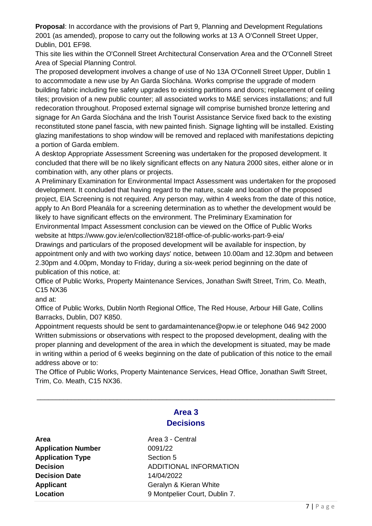**Proposal**: In accordance with the provisions of Part 9, Planning and Development Regulations 2001 (as amended), propose to carry out the following works at 13 A O'Connell Street Upper, Dublin, D01 EF98.

This site lies within the O'Connell Street Architectural Conservation Area and the O'Connell Street Area of Special Planning Control.

The proposed development involves a change of use of No 13A O'Connell Street Upper, Dublin 1 to accommodate a new use by An Garda Síochána. Works comprise the upgrade of modern building fabric including fire safety upgrades to existing partitions and doors; replacement of ceiling tiles; provision of a new public counter; all associated works to M&E services installations; and full redecoration throughout. Proposed external signage will comprise burnished bronze lettering and signage for An Garda Síochána and the Irish Tourist Assistance Service fixed back to the existing reconstituted stone panel fascia, with new painted finish. Signage lighting will be installed. Existing glazing manifestations to shop window will be removed and replaced with manifestations depicting a portion of Garda emblem.

A desktop Appropriate Assessment Screening was undertaken for the proposed development. It concluded that there will be no likely significant effects on any Natura 2000 sites, either alone or in combination with, any other plans or projects.

A Preliminary Examination for Environmental Impact Assessment was undertaken for the proposed development. It concluded that having regard to the nature, scale and location of the proposed project, EIA Screening is not required. Any person may, within 4 weeks from the date of this notice, apply to An Bord Pleanála for a screening determination as to whether the development would be likely to have significant effects on the environment. The Preliminary Examination for Environmental Impact Assessment conclusion can be viewed on the Office of Public Works

website at https://www.gov.ie/en/collection/8218f-office-of-public-works-part-9-eia/ Drawings and particulars of the proposed development will be available for inspection, by appointment only and with two working days' notice, between 10.00am and 12.30pm and between

2.30pm and 4.00pm, Monday to Friday, during a six-week period beginning on the date of publication of this notice, at:

Office of Public Works, Property Maintenance Services, Jonathan Swift Street, Trim, Co. Meath, C15 NX36

and at:

Office of Public Works, Dublin North Regional Office, The Red House, Arbour Hill Gate, Collins Barracks, Dublin, D07 K850.

Appointment requests should be sent to gardamaintenance@opw.ie or telephone 046 942 2000 Written submissions or observations with respect to the proposed development, dealing with the proper planning and development of the area in which the development is situated, may be made in writing within a period of 6 weeks beginning on the date of publication of this notice to the email address above or to:

The Office of Public Works, Property Maintenance Services, Head Office, Jonathan Swift Street, Trim, Co. Meath, C15 NX36.

| Area 3           |
|------------------|
| <b>Decisions</b> |

\_\_\_\_\_\_\_\_\_\_\_\_\_\_\_\_\_\_\_\_\_\_\_\_\_\_\_\_\_\_\_\_\_\_\_\_\_\_\_\_\_\_\_\_\_\_\_\_\_\_\_\_\_\_\_\_\_\_\_\_\_\_\_\_\_\_\_\_\_\_\_\_\_\_\_\_\_\_

| Area                      |
|---------------------------|
| <b>Application Number</b> |
| <b>Application Type</b>   |
| <b>Decision</b>           |
| <b>Decision Date</b>      |
| <b>Applicant</b>          |
| Location                  |

**Area** Area 3 - Central **Application Number** 0091/22 **Section 5 ADDITIONAL INFORMATION Decision Date** 14/04/2022 **Geralyn & Kieran White Location** 9 Montpelier Court, Dublin 7.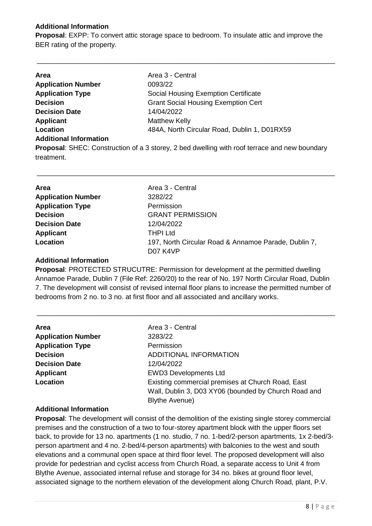#### **Additional Information**

**Proposal**: EXPP: To convert attic storage space to bedroom. To insulate attic and improve the BER rating of the property.

\_\_\_\_\_\_\_\_\_\_\_\_\_\_\_\_\_\_\_\_\_\_\_\_\_\_\_\_\_\_\_\_\_\_\_\_\_\_\_\_\_\_\_\_\_\_\_\_\_\_\_\_\_\_\_\_\_\_\_\_\_\_\_\_\_\_\_\_\_\_\_\_\_\_\_\_\_\_

| <b>Area</b>                   | Area 3 - Central                                                                                     |
|-------------------------------|------------------------------------------------------------------------------------------------------|
| <b>Application Number</b>     | 0093/22                                                                                              |
| <b>Application Type</b>       | Social Housing Exemption Certificate                                                                 |
| <b>Decision</b>               | <b>Grant Social Housing Exemption Cert</b>                                                           |
| <b>Decision Date</b>          | 14/04/2022                                                                                           |
| Applicant                     | <b>Matthew Kelly</b>                                                                                 |
| Location                      | 484A, North Circular Road, Dublin 1, D01RX59                                                         |
| <b>Additional Information</b> |                                                                                                      |
|                               | <b>Proposal:</b> SHEC: Construction of a 3 storey, 2 bed dwelling with roof terrace and new boundary |
| treatment.                    |                                                                                                      |
|                               |                                                                                                      |

| <b>Area</b>               | Area 3 - Central                                     |
|---------------------------|------------------------------------------------------|
| <b>Application Number</b> | 3282/22                                              |
| <b>Application Type</b>   | Permission                                           |
| <b>Decision</b>           | <b>GRANT PERMISSION</b>                              |
| <b>Decision Date</b>      | 12/04/2022                                           |
| <b>Applicant</b>          | <b>THPI Ltd</b>                                      |
| Location                  | 197, North Circular Road & Annamoe Parade, Dublin 7, |
|                           | D <sub>07</sub> K <sub>4</sub> V <sub>P</sub>        |

\_\_\_\_\_\_\_\_\_\_\_\_\_\_\_\_\_\_\_\_\_\_\_\_\_\_\_\_\_\_\_\_\_\_\_\_\_\_\_\_\_\_\_\_\_\_\_\_\_\_\_\_\_\_\_\_\_\_\_\_\_\_\_\_\_\_\_\_\_\_\_\_\_\_\_\_\_\_

#### **Additional Information**

**Proposal**: PROTECTED STRUCUTRE: Permission for development at the permitted dwelling Annamoe Parade, Dublin 7 (File Ref: 2260/20) to the rear of No. 197 North Circular Road, Dublin 7. The development will consist of revised internal floor plans to increase the permitted number of bedrooms from 2 no. to 3 no. at first floor and all associated and ancillary works.

\_\_\_\_\_\_\_\_\_\_\_\_\_\_\_\_\_\_\_\_\_\_\_\_\_\_\_\_\_\_\_\_\_\_\_\_\_\_\_\_\_\_\_\_\_\_\_\_\_\_\_\_\_\_\_\_\_\_\_\_\_\_\_\_\_\_\_\_\_\_\_\_\_\_\_\_\_\_

| Area                      | Area 3 - Central                                                                                                                   |
|---------------------------|------------------------------------------------------------------------------------------------------------------------------------|
| <b>Application Number</b> | 3283/22                                                                                                                            |
| <b>Application Type</b>   | Permission                                                                                                                         |
| <b>Decision</b>           | ADDITIONAL INFORMATION                                                                                                             |
| <b>Decision Date</b>      | 12/04/2022                                                                                                                         |
| <b>Applicant</b>          | <b>EWD3 Developments Ltd</b>                                                                                                       |
| Location                  | Existing commercial premises at Church Road, East<br>Wall, Dublin 3, D03 XY06 (bounded by Church Road and<br><b>Blythe Avenue)</b> |

#### **Additional Information**

**Proposal**: The development will consist of the demolition of the existing single storey commercial premises and the construction of a two to four-storey apartment block with the upper floors set back, to provide for 13 no. apartments (1 no. studio, 7 no. 1-bed/2-person apartments, 1x 2-bed/3 person apartment and 4 no. 2-bed/4-person apartments) with balconies to the west and south elevations and a communal open space at third floor level. The proposed development will also provide for pedestrian and cyclist access from Church Road, a separate access to Unit 4 from Blythe Avenue, associated internal refuse and storage for 34 no. bikes at ground floor level, associated signage to the northern elevation of the development along Church Road, plant, P.V.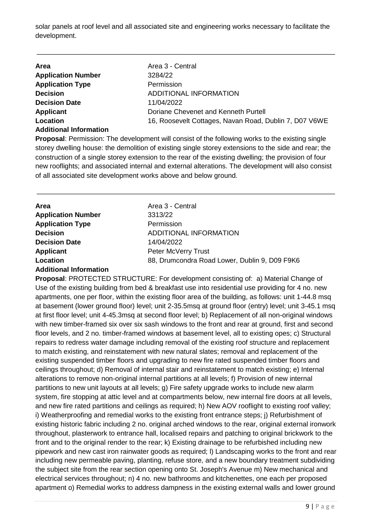solar panels at roof level and all associated site and engineering works necessary to facilitate the development.

\_\_\_\_\_\_\_\_\_\_\_\_\_\_\_\_\_\_\_\_\_\_\_\_\_\_\_\_\_\_\_\_\_\_\_\_\_\_\_\_\_\_\_\_\_\_\_\_\_\_\_\_\_\_\_\_\_\_\_\_\_\_\_\_\_\_\_\_\_\_\_\_\_\_\_\_\_\_

| Area                          | Area 3 - Central                                       |
|-------------------------------|--------------------------------------------------------|
| <b>Application Number</b>     | 3284/22                                                |
| <b>Application Type</b>       | Permission                                             |
| <b>Decision</b>               | ADDITIONAL INFORMATION                                 |
| <b>Decision Date</b>          | 11/04/2022                                             |
| Applicant                     | Doriane Chevenet and Kenneth Purtell                   |
| Location                      | 16, Roosevelt Cottages, Navan Road, Dublin 7, D07 V6WE |
| <b>Additional Information</b> |                                                        |

**Proposal**: Permission: The development will consist of the following works to the existing single storey dwelling house: the demolition of existing single storey extensions to the side and rear; the construction of a single storey extension to the rear of the existing dwelling; the provision of four new rooflights; and associated internal and external alterations. The development will also consist of all associated site development works above and below ground.

\_\_\_\_\_\_\_\_\_\_\_\_\_\_\_\_\_\_\_\_\_\_\_\_\_\_\_\_\_\_\_\_\_\_\_\_\_\_\_\_\_\_\_\_\_\_\_\_\_\_\_\_\_\_\_\_\_\_\_\_\_\_\_\_\_\_\_\_\_\_\_\_\_\_\_\_\_\_

| Area                          | Area 3 - Central                              |
|-------------------------------|-----------------------------------------------|
| <b>Application Number</b>     | 3313/22                                       |
| <b>Application Type</b>       | Permission                                    |
| <b>Decision</b>               | ADDITIONAL INFORMATION                        |
| <b>Decision Date</b>          | 14/04/2022                                    |
| <b>Applicant</b>              | Peter McVerry Trust                           |
| Location                      | 88, Drumcondra Road Lower, Dublin 9, D09 F9K6 |
| <b>Additional Information</b> |                                               |

**Proposal**: PROTECTED STRUCTURE: For development consisting of: a) Material Change of Use of the existing building from bed & breakfast use into residential use providing for 4 no. new apartments, one per floor, within the existing floor area of the building, as follows: unit 1-44.8 msq at basement (lower ground floor) level; unit 2-35.5msq at ground floor (entry) level; unit 3-45.1 msq at first floor level; unit 4-45.3msq at second floor level; b) Replacement of all non-original windows with new timber-framed six over six sash windows to the front and rear at ground, first and second floor levels, and 2 no. timber-framed windows at basement level, all to existing opes; c) Structural repairs to redress water damage including removal of the existing roof structure and replacement to match existing, and reinstatement with new natural slates; removal and replacement of the existing suspended timber floors and upgrading to new fire rated suspended timber floors and ceilings throughout; d) Removal of internal stair and reinstatement to match existing; e) Internal alterations to remove non-original internal partitions at all levels; f) Provision of new internal partitions to new unit layouts at all levels; g) Fire safety upgrade works to include new alarm system, fire stopping at attic level and at compartments below, new internal fire doors at all levels, and new fire rated partitions and ceilings as required; h) New AOV rooflight to existing roof valley; i) Weatherproofing and remedial works to the existing front entrance steps; j) Refurbishment of existing historic fabric including 2 no. original arched windows to the rear, original external ironwork throughout, plasterwork to entrance hall, localised repairs and patching to original brickwork to the front and to the original render to the rear; k) Existing drainage to be refurbished including new pipework and new cast iron rainwater goods as required; l) Landscaping works to the front and rear including new permeable paving, planting, refuse store, and a new boundary treatment subdividing the subject site from the rear section opening onto St. Joseph's Avenue m) New mechanical and electrical services throughout; n) 4 no. new bathrooms and kitchenettes, one each per proposed apartment o) Remedial works to address dampness in the existing external walls and lower ground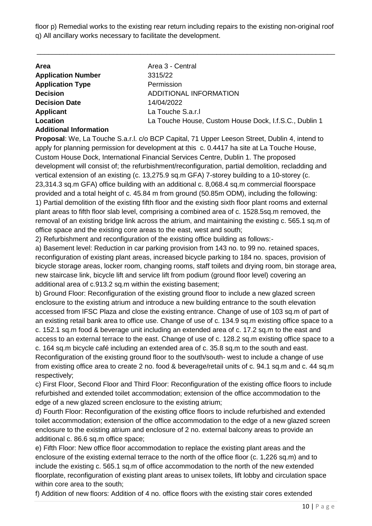floor p) Remedial works to the existing rear return including repairs to the existing non-original roof q) All ancillary works necessary to facilitate the development.

\_\_\_\_\_\_\_\_\_\_\_\_\_\_\_\_\_\_\_\_\_\_\_\_\_\_\_\_\_\_\_\_\_\_\_\_\_\_\_\_\_\_\_\_\_\_\_\_\_\_\_\_\_\_\_\_\_\_\_\_\_\_\_\_\_\_\_\_\_\_\_\_\_\_\_\_\_\_

| <b>Area</b>                   | Area 3 - Central                                       |
|-------------------------------|--------------------------------------------------------|
| <b>Application Number</b>     | 3315/22                                                |
| <b>Application Type</b>       | Permission                                             |
| <b>Decision</b>               | ADDITIONAL INFORMATION                                 |
| <b>Decision Date</b>          | 14/04/2022                                             |
| Applicant                     | La Touche S.a.r.I                                      |
| Location                      | La Touche House, Custom House Dock, I.f.S.C., Dublin 1 |
| <b>Additional Information</b> |                                                        |

**Proposal**: We, La Touche S.a.r.l. c/o BCP Capital, 71 Upper Leeson Street, Dublin 4, intend to apply for planning permission for development at this c. 0.4417 ha site at La Touche House, Custom House Dock, International Financial Services Centre, Dublin 1. The proposed development will consist of; the refurbishment/reconfiguration, partial demolition, recladding and vertical extension of an existing (c. 13,275.9 sq.m GFA) 7-storey building to a 10-storey (c. 23,314.3 sq.m GFA) office building with an additional c. 8,068.4 sq.m commercial floorspace provided and a total height of c. 45.84 m from ground (50.85m ODM), including the following: 1) Partial demolition of the existing fifth floor and the existing sixth floor plant rooms and external plant areas to fifth floor slab level, comprising a combined area of c. 1528.5sq.m removed, the removal of an existing bridge link across the atrium, and maintaining the existing c. 565.1 sq.m of office space and the existing core areas to the east, west and south;

2) Refurbishment and reconfiguration of the existing office building as follows:-

a) Basement level: Reduction in car parking provision from 143 no. to 99 no. retained spaces, reconfiguration of existing plant areas, increased bicycle parking to 184 no. spaces, provision of bicycle storage areas, locker room, changing rooms, staff toilets and drying room, bin storage area, new staircase link, bicycle lift and service lift from podium (ground floor level) covering an additional area of c.913.2 sq.m within the existing basement;

b) Ground Floor: Reconfiguration of the existing ground floor to include a new glazed screen enclosure to the existing atrium and introduce a new building entrance to the south elevation accessed from IFSC Plaza and close the existing entrance. Change of use of 103 sq.m of part of an existing retail bank area to office use. Change of use of c. 134.9 sq.m existing office space to a c. 152.1 sq.m food & beverage unit including an extended area of c. 17.2 sq.m to the east and access to an external terrace to the east. Change of use of c. 128.2 sq.m existing office space to a

c. 164 sq.m bicycle café including an extended area of c. 35.8 sq.m to the south and east. Reconfiguration of the existing ground floor to the south/south- west to include a change of use from existing office area to create 2 no. food & beverage/retail units of c. 94.1 sq.m and c. 44 sq.m respectively;

c) First Floor, Second Floor and Third Floor: Reconfiguration of the existing office floors to include refurbished and extended toilet accommodation; extension of the office accommodation to the edge of a new glazed screen enclosure to the existing atrium;

d) Fourth Floor: Reconfiguration of the existing office floors to include refurbished and extended toilet accommodation; extension of the office accommodation to the edge of a new glazed screen enclosure to the existing atrium and enclosure of 2 no. external balcony areas to provide an additional c. 86.6 sq.m office space;

e) Fifth Floor: New office floor accommodation to replace the existing plant areas and the enclosure of the existing external terrace to the north of the office floor (c. 1,226 sq.m) and to include the existing c. 565.1 sq.m of office accommodation to the north of the new extended floorplate, reconfiguration of existing plant areas to unisex toilets, lift lobby and circulation space within core area to the south;

f) Addition of new floors: Addition of 4 no. office floors with the existing stair cores extended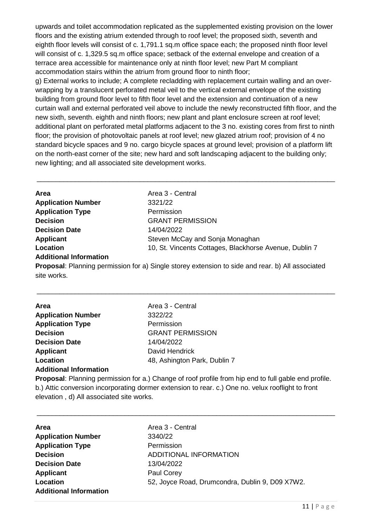upwards and toilet accommodation replicated as the supplemented existing provision on the lower floors and the existing atrium extended through to roof level; the proposed sixth, seventh and eighth floor levels will consist of c. 1,791.1 sq.m office space each; the proposed ninth floor level will consist of c. 1,329.5 sq.m office space; setback of the external envelope and creation of a terrace area accessible for maintenance only at ninth floor level; new Part M compliant accommodation stairs within the atrium from ground floor to ninth floor;

g) External works to include; A complete recladding with replacement curtain walling and an overwrapping by a translucent perforated metal veil to the vertical external envelope of the existing building from ground floor level to fifth floor level and the extension and continuation of a new curtain wall and external perforated veil above to include the newly reconstructed fifth floor, and the new sixth, seventh. eighth and ninth floors; new plant and plant enclosure screen at roof level; additional plant on perforated metal platforms adjacent to the 3 no. existing cores from first to ninth floor; the provision of photovoltaic panels at roof level; new glazed atrium roof; provision of 4 no standard bicycle spaces and 9 no. cargo bicycle spaces at ground level; provision of a platform lift on the north-east corner of the site; new hard and soft landscaping adjacent to the building only; new lighting; and all associated site development works.

| Area                          | Area 3 - Central                                       |
|-------------------------------|--------------------------------------------------------|
| <b>Application Number</b>     | 3321/22                                                |
| <b>Application Type</b>       | Permission                                             |
| <b>Decision</b>               | <b>GRANT PERMISSION</b>                                |
| <b>Decision Date</b>          | 14/04/2022                                             |
| <b>Applicant</b>              | Steven McCay and Sonja Monaghan                        |
| Location                      | 10, St. Vincents Cottages, Blackhorse Avenue, Dublin 7 |
| <b>Additional Information</b> |                                                        |

\_\_\_\_\_\_\_\_\_\_\_\_\_\_\_\_\_\_\_\_\_\_\_\_\_\_\_\_\_\_\_\_\_\_\_\_\_\_\_\_\_\_\_\_\_\_\_\_\_\_\_\_\_\_\_\_\_\_\_\_\_\_\_\_\_\_\_\_\_\_\_\_\_\_\_\_\_\_

**Proposal**: Planning permission for a) Single storey extension to side and rear. b) All associated site works.

\_\_\_\_\_\_\_\_\_\_\_\_\_\_\_\_\_\_\_\_\_\_\_\_\_\_\_\_\_\_\_\_\_\_\_\_\_\_\_\_\_\_\_\_\_\_\_\_\_\_\_\_\_\_\_\_\_\_\_\_\_\_\_\_\_\_\_\_\_\_\_\_\_\_\_\_\_\_

| <b>Area</b>                   | Area 3 - Central             |
|-------------------------------|------------------------------|
| <b>Application Number</b>     | 3322/22                      |
| <b>Application Type</b>       | Permission                   |
| <b>Decision</b>               | <b>GRANT PERMISSION</b>      |
| <b>Decision Date</b>          | 14/04/2022                   |
| <b>Applicant</b>              | David Hendrick               |
| Location                      | 48, Ashington Park, Dublin 7 |
| <b>Additional Information</b> |                              |

**Proposal**: Planning permission for a.) Change of roof profile from hip end to full gable end profile. b.) Attic conversion incorporating dormer extension to rear. c.) One no. velux rooflight to front elevation , d) All associated site works.

| Area                          | Area 3 - Central                                |
|-------------------------------|-------------------------------------------------|
| <b>Application Number</b>     | 3340/22                                         |
| <b>Application Type</b>       | Permission                                      |
| <b>Decision</b>               | ADDITIONAL INFORMATION                          |
| <b>Decision Date</b>          | 13/04/2022                                      |
| <b>Applicant</b>              | Paul Corey                                      |
| Location                      | 52, Joyce Road, Drumcondra, Dublin 9, D09 X7W2. |
| <b>Additional Information</b> |                                                 |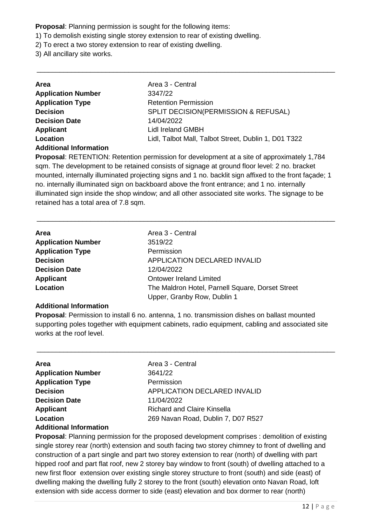**Proposal**: Planning permission is sought for the following items:

- 1) To demolish existing single storey extension to rear of existing dwelling.
- 2) To erect a two storey extension to rear of existing dwelling.
- 3) All ancillary site works.

| Area                          | Area 3 - Central                                     |
|-------------------------------|------------------------------------------------------|
| <b>Application Number</b>     | 3347/22                                              |
| <b>Application Type</b>       | <b>Retention Permission</b>                          |
| <b>Decision</b>               | SPLIT DECISION(PERMISSION & REFUSAL)                 |
| <b>Decision Date</b>          | 14/04/2022                                           |
| Applicant                     | Lidl Ireland GMBH                                    |
| Location                      | Lidl, Talbot Mall, Talbot Street, Dublin 1, D01 T322 |
| <b>Additional Information</b> |                                                      |

**Proposal**: RETENTION: Retention permission for development at a site of approximately 1,784 sqm. The development to be retained consists of signage at ground floor level: 2 no. bracket mounted, internally illuminated projecting signs and 1 no. backlit sign affixed to the front façade; 1 no. internally illuminated sign on backboard above the front entrance; and 1 no. internally illuminated sign inside the shop window; and all other associated site works. The signage to be retained has a total area of 7.8 sqm.

\_\_\_\_\_\_\_\_\_\_\_\_\_\_\_\_\_\_\_\_\_\_\_\_\_\_\_\_\_\_\_\_\_\_\_\_\_\_\_\_\_\_\_\_\_\_\_\_\_\_\_\_\_\_\_\_\_\_\_\_\_\_\_\_\_\_\_\_\_\_\_\_\_\_\_\_\_\_

\_\_\_\_\_\_\_\_\_\_\_\_\_\_\_\_\_\_\_\_\_\_\_\_\_\_\_\_\_\_\_\_\_\_\_\_\_\_\_\_\_\_\_\_\_\_\_\_\_\_\_\_\_\_\_\_\_\_\_\_\_\_\_\_\_\_\_\_\_\_\_\_\_\_\_\_\_\_

| Area                      | Area 3 - Central                                 |
|---------------------------|--------------------------------------------------|
| <b>Application Number</b> | 3519/22                                          |
| <b>Application Type</b>   | Permission                                       |
| <b>Decision</b>           | <b>APPLICATION DECLARED INVALID</b>              |
| <b>Decision Date</b>      | 12/04/2022                                       |
| <b>Applicant</b>          | <b>Ontower Ireland Limited</b>                   |
| Location                  | The Maldron Hotel, Parnell Square, Dorset Street |
|                           | Upper, Granby Row, Dublin 1                      |

#### **Additional Information**

**Proposal**: Permission to install 6 no. antenna, 1 no. transmission dishes on ballast mounted supporting poles together with equipment cabinets, radio equipment, cabling and associated site works at the roof level.

\_\_\_\_\_\_\_\_\_\_\_\_\_\_\_\_\_\_\_\_\_\_\_\_\_\_\_\_\_\_\_\_\_\_\_\_\_\_\_\_\_\_\_\_\_\_\_\_\_\_\_\_\_\_\_\_\_\_\_\_\_\_\_\_\_\_\_\_\_\_\_\_\_\_\_\_\_\_

| Area 3 - Central                   |
|------------------------------------|
| 3641/22                            |
| Permission                         |
| APPLICATION DECLARED INVALID       |
| 11/04/2022                         |
| <b>Richard and Claire Kinsella</b> |
| 269 Navan Road, Dublin 7, D07 R527 |
|                                    |

#### **Additional Information**

**Proposal**: Planning permission for the proposed development comprises : demolition of existing single storey rear (north) extension and south facing two storey chimney to front of dwelling and construction of a part single and part two storey extension to rear (north) of dwelling with part hipped roof and part flat roof, new 2 storey bay window to front (south) of dwelling attached to a new first floor extension over existing single storey structure to front (south) and side (east) of dwelling making the dwelling fully 2 storey to the front (south) elevation onto Navan Road, loft extension with side access dormer to side (east) elevation and box dormer to rear (north)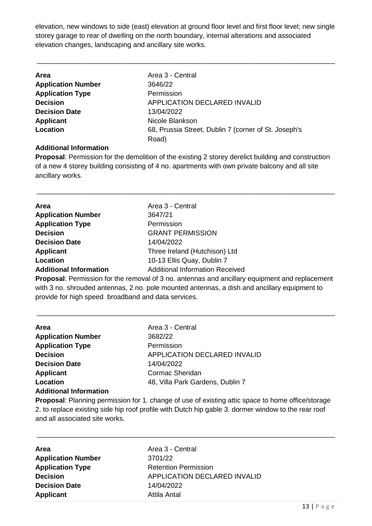elevation, new windows to side (east) elevation at ground floor level and first floor level; new single storey garage to rear of dwelling on the north boundary, internal alterations and associated elevation changes, landscaping and ancillary site works.

\_\_\_\_\_\_\_\_\_\_\_\_\_\_\_\_\_\_\_\_\_\_\_\_\_\_\_\_\_\_\_\_\_\_\_\_\_\_\_\_\_\_\_\_\_\_\_\_\_\_\_\_\_\_\_\_\_\_\_\_\_\_\_\_\_\_\_\_\_\_\_\_\_\_\_\_\_\_

| <b>Area</b>               | Area 3 - Central                                     |
|---------------------------|------------------------------------------------------|
| <b>Application Number</b> | 3646/22                                              |
| <b>Application Type</b>   | Permission                                           |
| <b>Decision</b>           | APPLICATION DECLARED INVALID                         |
| <b>Decision Date</b>      | 13/04/2022                                           |
| Applicant                 | Nicole Blankson                                      |
| Location                  | 68, Prussia Street, Dublin 7 (corner of St. Joseph's |
|                           | Road)                                                |

#### **Additional Information**

**Proposal**: Permission for the demolition of the existing 2 storey derelict building and construction of a new 4 storey building consisting of 4 no. apartments with own private balcony and all site ancillary works.

\_\_\_\_\_\_\_\_\_\_\_\_\_\_\_\_\_\_\_\_\_\_\_\_\_\_\_\_\_\_\_\_\_\_\_\_\_\_\_\_\_\_\_\_\_\_\_\_\_\_\_\_\_\_\_\_\_\_\_\_\_\_\_\_\_\_\_\_\_\_\_\_\_\_\_\_\_\_

| Area                          | Area 3 - Central                                                                                     |
|-------------------------------|------------------------------------------------------------------------------------------------------|
| <b>Application Number</b>     | 3647/21                                                                                              |
| <b>Application Type</b>       | Permission                                                                                           |
| <b>Decision</b>               | <b>GRANT PERMISSION</b>                                                                              |
| <b>Decision Date</b>          | 14/04/2022                                                                                           |
| <b>Applicant</b>              | Three Ireland (Hutchison) Ltd                                                                        |
| Location                      | 10-13 Ellis Quay, Dublin 7                                                                           |
| <b>Additional Information</b> | <b>Additional Information Received</b>                                                               |
|                               | <b>Dranged:</b> Demission for the remayal of 2 no, enterpree and apoillony equipment and repleasment |

**Proposal**: Permission for the removal of 3 no. antennas and ancillary equipment and replacement with 3 no. shrouded antennas, 2 no. pole mounted antennas, a dish and ancillary equipment to provide for high speed broadband and data services.

\_\_\_\_\_\_\_\_\_\_\_\_\_\_\_\_\_\_\_\_\_\_\_\_\_\_\_\_\_\_\_\_\_\_\_\_\_\_\_\_\_\_\_\_\_\_\_\_\_\_\_\_\_\_\_\_\_\_\_\_\_\_\_\_\_\_\_\_\_\_\_\_\_\_\_\_\_\_

| Area                          | Area 3 - Central                 |
|-------------------------------|----------------------------------|
| <b>Application Number</b>     | 3682/22                          |
| <b>Application Type</b>       | Permission                       |
| <b>Decision</b>               | APPLICATION DECLARED INVALID     |
| <b>Decision Date</b>          | 14/04/2022                       |
| <b>Applicant</b>              | Cormac Sheridan                  |
| Location                      | 48, Villa Park Gardens, Dublin 7 |
| <b>Additional Information</b> |                                  |

**Proposal**: Planning permission for 1. change of use of existing attic space to home office/storage 2. to replace existing side hip roof profile with Dutch hip gable 3. dormer window to the rear roof and all associated site works.

| <b>Area</b>               | Area 3 - Central             |
|---------------------------|------------------------------|
| <b>Application Number</b> | 3701/22                      |
| <b>Application Type</b>   | <b>Retention Permission</b>  |
| <b>Decision</b>           | APPLICATION DECLARED INVALID |
| <b>Decision Date</b>      | 14/04/2022                   |
| <b>Applicant</b>          | Attila Antal                 |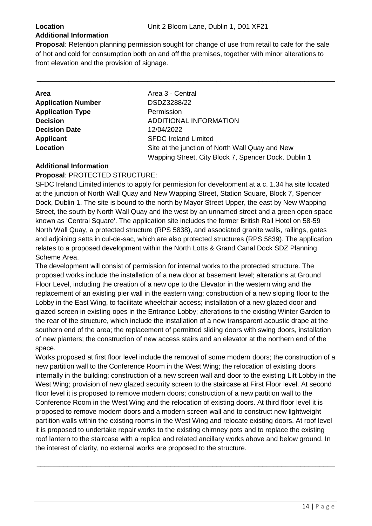### **Additional Information**

**Proposal**: Retention planning permission sought for change of use from retail to cafe for the sale of hot and cold for consumption both on and off the premises, together with minor alterations to front elevation and the provision of signage.

\_\_\_\_\_\_\_\_\_\_\_\_\_\_\_\_\_\_\_\_\_\_\_\_\_\_\_\_\_\_\_\_\_\_\_\_\_\_\_\_\_\_\_\_\_\_\_\_\_\_\_\_\_\_\_\_\_\_\_\_\_\_\_\_\_\_\_\_\_\_\_\_\_\_\_\_\_\_

| Area 3 - Central                                                                                        |
|---------------------------------------------------------------------------------------------------------|
| DSDZ3288/22                                                                                             |
| Permission                                                                                              |
| ADDITIONAL INFORMATION                                                                                  |
| 12/04/2022                                                                                              |
| <b>SFDC Ireland Limited</b>                                                                             |
| Site at the junction of North Wall Quay and New<br>Wapping Street, City Block 7, Spencer Dock, Dublin 1 |
|                                                                                                         |

#### **Additional Information**

**Proposal**: PROTECTED STRUCTURE:

SFDC Ireland Limited intends to apply for permission for development at a c. 1.34 ha site located at the junction of North Wall Quay and New Wapping Street, Station Square, Block 7, Spencer Dock, Dublin 1. The site is bound to the north by Mayor Street Upper, the east by New Wapping Street, the south by North Wall Quay and the west by an unnamed street and a green open space known as 'Central Square'. The application site includes the former British Rail Hotel on 58-59 North Wall Quay, a protected structure (RPS 5838), and associated granite walls, railings, gates and adjoining setts in cul-de-sac, which are also protected structures (RPS 5839). The application relates to a proposed development within the North Lotts & Grand Canal Dock SDZ Planning Scheme Area.

The development will consist of permission for internal works to the protected structure. The proposed works include the installation of a new door at basement level; alterations at Ground Floor Level, including the creation of a new ope to the Elevator in the western wing and the replacement of an existing pier wall in the eastern wing; construction of a new sloping floor to the Lobby in the East Wing, to facilitate wheelchair access; installation of a new glazed door and glazed screen in existing opes in the Entrance Lobby; alterations to the existing Winter Garden to the rear of the structure, which include the installation of a new transparent acoustic drape at the southern end of the area; the replacement of permitted sliding doors with swing doors, installation of new planters; the construction of new access stairs and an elevator at the northern end of the space.

Works proposed at first floor level include the removal of some modern doors; the construction of a new partition wall to the Conference Room in the West Wing; the relocation of existing doors internally in the building; construction of a new screen wall and door to the existing Lift Lobby in the West Wing; provision of new glazed security screen to the staircase at First Floor level. At second floor level it is proposed to remove modern doors; construction of a new partition wall to the Conference Room in the West Wing and the relocation of existing doors. At third floor level it is proposed to remove modern doors and a modern screen wall and to construct new lightweight partition walls within the existing rooms in the West Wing and relocate existing doors. At roof level it is proposed to undertake repair works to the existing chimney pots and to replace the existing roof lantern to the staircase with a replica and related ancillary works above and below ground. In the interest of clarity, no external works are proposed to the structure.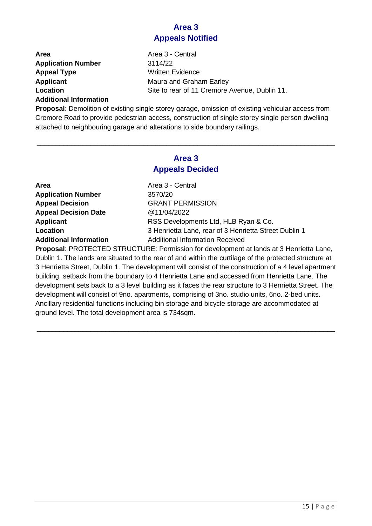#### **Area 3 Appeals Notified**

| Area                      | Area 3 - Central                              |
|---------------------------|-----------------------------------------------|
| <b>Application Number</b> | 3114/22                                       |
| <b>Appeal Type</b>        | Written Evidence                              |
| Applicant                 | Maura and Graham Earley                       |
| Location                  | Site to rear of 11 Cremore Avenue, Dublin 11. |

#### **Additional Information**

**Proposal**: Demolition of existing single storey garage, omission of existing vehicular access from Cremore Road to provide pedestrian access, construction of single storey single person dwelling attached to neighbouring garage and alterations to side boundary railings.

#### **Area 3 Appeals Decided**

\_\_\_\_\_\_\_\_\_\_\_\_\_\_\_\_\_\_\_\_\_\_\_\_\_\_\_\_\_\_\_\_\_\_\_\_\_\_\_\_\_\_\_\_\_\_\_\_\_\_\_\_\_\_\_\_\_\_\_\_\_\_\_\_\_\_\_\_\_\_\_\_\_\_\_\_\_\_

| Area 3 - Central                                      |
|-------------------------------------------------------|
| 3570/20                                               |
| <b>GRANT PERMISSION</b>                               |
| @11/04/2022                                           |
| RSS Developments Ltd, HLB Ryan & Co.                  |
| 3 Henrietta Lane, rear of 3 Henrietta Street Dublin 1 |
| <b>Additional Information Received</b>                |
|                                                       |

**Proposal**: PROTECTED STRUCTURE: Permission for development at lands at 3 Henrietta Lane, Dublin 1. The lands are situated to the rear of and within the curtilage of the protected structure at 3 Henrietta Street, Dublin 1. The development will consist of the construction of a 4 level apartment building, setback from the boundary to 4 Henrietta Lane and accessed from Henrietta Lane. The development sets back to a 3 level building as it faces the rear structure to 3 Henrietta Street. The development will consist of 9no. apartments, comprising of 3no. studio units, 6no. 2-bed units. Ancillary residential functions including bin storage and bicycle storage are accommodated at ground level. The total development area is 734sqm.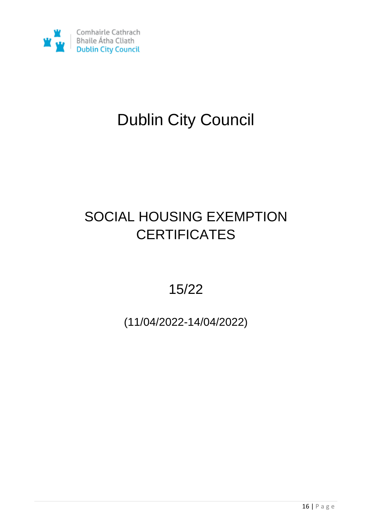

# Dublin City Council

# SOCIAL HOUSING EXEMPTION **CERTIFICATES**

15/22

(11/04/2022-14/04/2022)